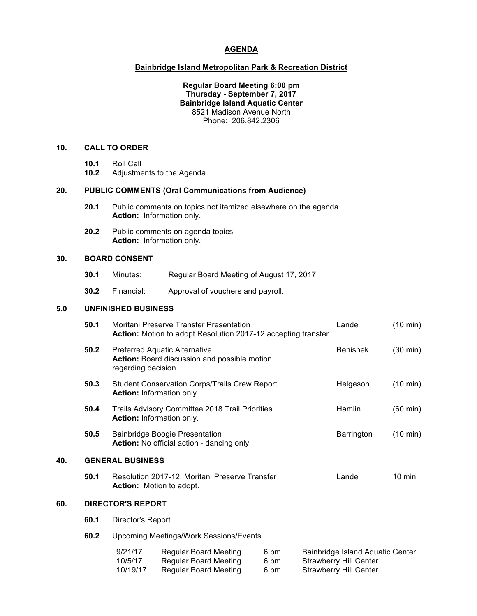#### **AGENDA**

### **Bainbridge Island Metropolitan Park & Recreation District**

### **Regular Board Meeting 6:00 pm Thursday - September 7, 2017 Bainbridge Island Aquatic Center** 8521 Madison Avenue North Phone: 206.842.2306

## **10. CALL TO ORDER**

- **10.1** Roll Call
- **10.2** Adjustments to the Agenda

#### **20. PUBLIC COMMENTS (Oral Communications from Audience)**

- **20.1** Public comments on topics not itemized elsewhere on the agenda **Action:** Information only.
- **20.2** Public comments on agenda topics **Action:** Information only.

# **30. BOARD CONSENT**

- **30.1** Minutes: Regular Board Meeting of August 17, 2017
- **30.2** Financial: Approval of vouchers and payroll.

# **5.0 UNFINISHED BUSINESS**

|     | 50.1                                                                                 | Moritani Preserve Transfer Presentation<br>Action: Motion to adopt Resolution 2017-12 accepting transfer.   |  |            | Lande                            | (10 min)           |
|-----|--------------------------------------------------------------------------------------|-------------------------------------------------------------------------------------------------------------|--|------------|----------------------------------|--------------------|
|     | 50.2                                                                                 | <b>Preferred Aquatic Alternative</b><br>Action: Board discussion and possible motion<br>regarding decision. |  |            | <b>Benishek</b>                  | $(30 \text{ min})$ |
|     | 50.3                                                                                 | <b>Student Conservation Corps/Trails Crew Report</b><br>Action: Information only.                           |  | Helgeson   | $(10 \text{ min})$               |                    |
|     | 50.4<br>Trails Advisory Committee 2018 Trail Priorities<br>Action: Information only. |                                                                                                             |  | Hamlin     | $(60 \text{ min})$               |                    |
|     | 50.5                                                                                 | <b>Bainbridge Boogie Presentation</b><br>Action: No official action - dancing only                          |  | Barrington | $(10 \text{ min})$               |                    |
| 40. | <b>GENERAL BUSINESS</b>                                                              |                                                                                                             |  |            |                                  |                    |
|     | 50.1                                                                                 | Resolution 2017-12: Moritani Preserve Transfer<br><b>Action:</b> Motion to adopt.                           |  | Lande      | $10 \text{ min}$                 |                    |
| 60. | <b>DIRECTOR'S REPORT</b>                                                             |                                                                                                             |  |            |                                  |                    |
|     | 60.1                                                                                 | Director's Report                                                                                           |  |            |                                  |                    |
|     | 60.2                                                                                 | <b>Upcoming Meetings/Work Sessions/Events</b>                                                               |  |            |                                  |                    |
|     |                                                                                      | 9/21/17<br><b>Regular Board Meeting</b><br>6 pm                                                             |  |            | Bainbridge Island Aquatic Center |                    |

10/5/17 Regular Board Meeting 6 pm Strawberry Hill Center 10/19/17 Regular Board Meeting 6 pm Strawberry Hill Center